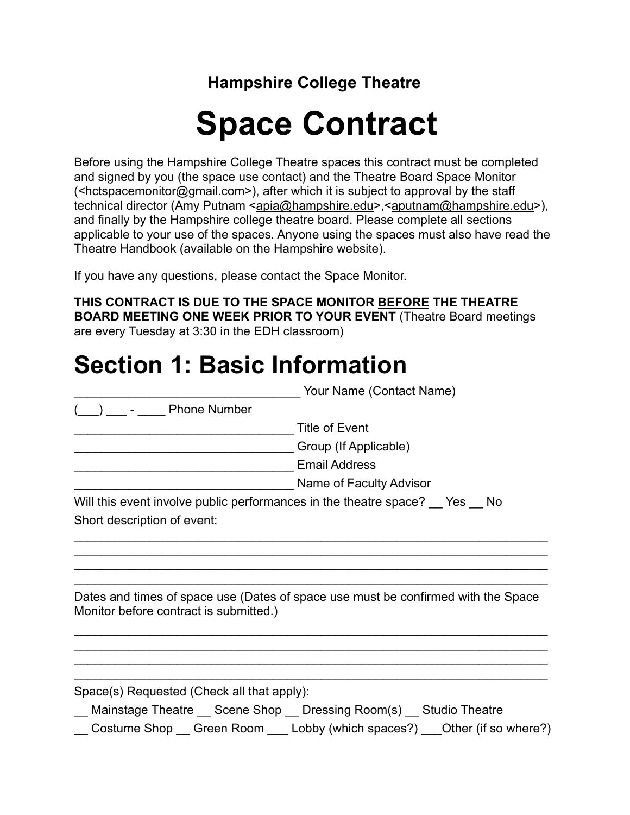**Hampshire College Theatre**

## **Space Contract**

Before using the Hampshire College Theatre spaces this contract must be completed and signed by you (the space use contact) and the Theatre Board Space Monitor  $\leq$ hctspacemonitor@gmail.com>), after which it is subject to approval by the staff technical director (Amy Putnam <apia@hampshire.edu>,<[aputnam@hampshire.edu>](mailto:aputnam@hampshire.edu)), and finally by the Hampshire college theatre board. Please complete all sections applicable to your use of the spaces. Anyone using the spaces must also have read the Theatre Handbook (available on the Hampshire website).

If you have any questions, please contact the Space Monitor.

**THIS CONTRACT IS DUE TO THE SPACE MONITOR BEFORE THE THEATRE BOARD MEETING ONE WEEK PRIOR TO YOUR EVENT** (Theatre Board meetings are every Tuesday at 3:30 in the EDH classroom)

### **Section 1: Basic Information**

|                                                                          | Your Name (Contact Name)                                                          |  |
|--------------------------------------------------------------------------|-----------------------------------------------------------------------------------|--|
| <b>Phone Number</b>                                                      |                                                                                   |  |
|                                                                          | <b>Title of Event</b>                                                             |  |
|                                                                          | Group (If Applicable)                                                             |  |
|                                                                          | <b>Email Address</b>                                                              |  |
|                                                                          | Name of Faculty Advisor                                                           |  |
| Will this event involve public performances in the theatre space? Yes No |                                                                                   |  |
| Short description of event:                                              |                                                                                   |  |
|                                                                          |                                                                                   |  |
|                                                                          |                                                                                   |  |
|                                                                          |                                                                                   |  |
| Monitor before contract is submitted.)                                   | Dates and times of space use (Dates of space use must be confirmed with the Space |  |
|                                                                          |                                                                                   |  |
| Space(s) Requested (Check all that apply):                               |                                                                                   |  |
| __ Mainstage Theatre __ Scene Shop __ Dressing Room(s) __ Studio Theatre | Costume Shop Green Room Lobby (which spaces?) Cher (if so where?)                 |  |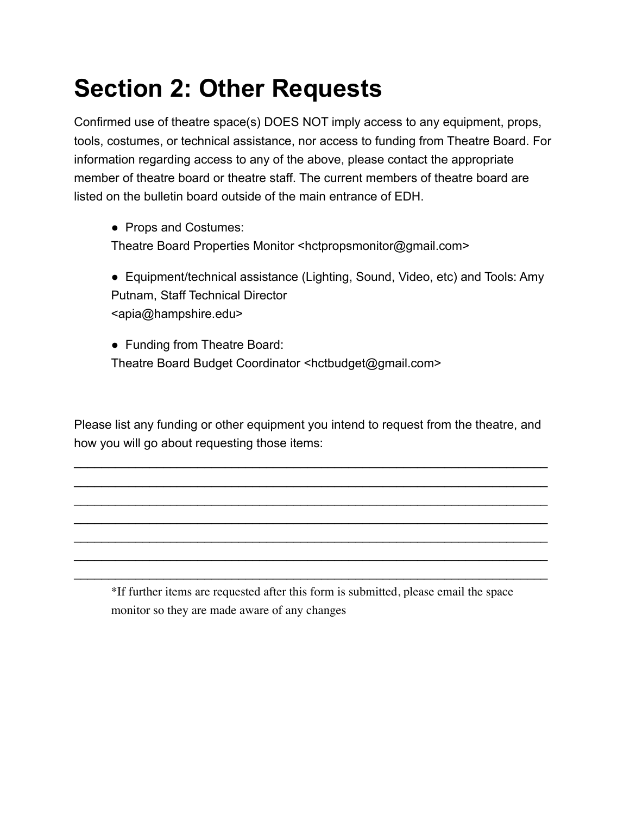### **Section 2: Other Requests**

Confirmed use of theatre space(s) DOES NOT imply access to any equipment, props, tools, costumes, or technical assistance, nor access to funding from Theatre Board. For information regarding access to any of the above, please contact the appropriate member of theatre board or theatre staff. The current members of theatre board are listed on the bulletin board outside of the main entrance of EDH.

 ● Props and Costumes: Theatre Board Properties Monitor <hctpropsmonitor@gmail.com>

● Equipment/technical assistance (Lighting, Sound, Video, etc) and Tools: Amy Putnam, Staff Technical Director <apia@hampshire.edu>

 ● Funding from Theatre Board: Theatre Board Budget Coordinator <hctbudget@gmail.com>

Please list any funding or other equipment you intend to request from the theatre, and how you will go about requesting those items:

\_\_\_\_\_\_\_\_\_\_\_\_\_\_\_\_\_\_\_\_\_\_\_\_\_\_\_\_\_\_\_\_\_\_\_\_\_\_\_\_\_\_\_\_\_\_\_\_\_\_\_\_\_\_\_\_\_\_\_\_\_\_\_\_\_\_\_\_\_ \_\_\_\_\_\_\_\_\_\_\_\_\_\_\_\_\_\_\_\_\_\_\_\_\_\_\_\_\_\_\_\_\_\_\_\_\_\_\_\_\_\_\_\_\_\_\_\_\_\_\_\_\_\_\_\_\_\_\_\_\_\_\_\_\_\_\_\_\_ \_\_\_\_\_\_\_\_\_\_\_\_\_\_\_\_\_\_\_\_\_\_\_\_\_\_\_\_\_\_\_\_\_\_\_\_\_\_\_\_\_\_\_\_\_\_\_\_\_\_\_\_\_\_\_\_\_\_\_\_\_\_\_\_\_\_\_\_\_ \_\_\_\_\_\_\_\_\_\_\_\_\_\_\_\_\_\_\_\_\_\_\_\_\_\_\_\_\_\_\_\_\_\_\_\_\_\_\_\_\_\_\_\_\_\_\_\_\_\_\_\_\_\_\_\_\_\_\_\_\_\_\_\_\_\_\_\_\_ \_\_\_\_\_\_\_\_\_\_\_\_\_\_\_\_\_\_\_\_\_\_\_\_\_\_\_\_\_\_\_\_\_\_\_\_\_\_\_\_\_\_\_\_\_\_\_\_\_\_\_\_\_\_\_\_\_\_\_\_\_\_\_\_\_\_\_\_\_ \_\_\_\_\_\_\_\_\_\_\_\_\_\_\_\_\_\_\_\_\_\_\_\_\_\_\_\_\_\_\_\_\_\_\_\_\_\_\_\_\_\_\_\_\_\_\_\_\_\_\_\_\_\_\_\_\_\_\_\_\_\_\_\_\_\_\_\_\_ \_\_\_\_\_\_\_\_\_\_\_\_\_\_\_\_\_\_\_\_\_\_\_\_\_\_\_\_\_\_\_\_\_\_\_\_\_\_\_\_\_\_\_\_\_\_\_\_\_\_\_\_\_\_\_\_\_\_\_\_\_\_\_\_\_\_\_\_\_

\*If further items are requested after this form is submitted, please email the space monitor so they are made aware of any changes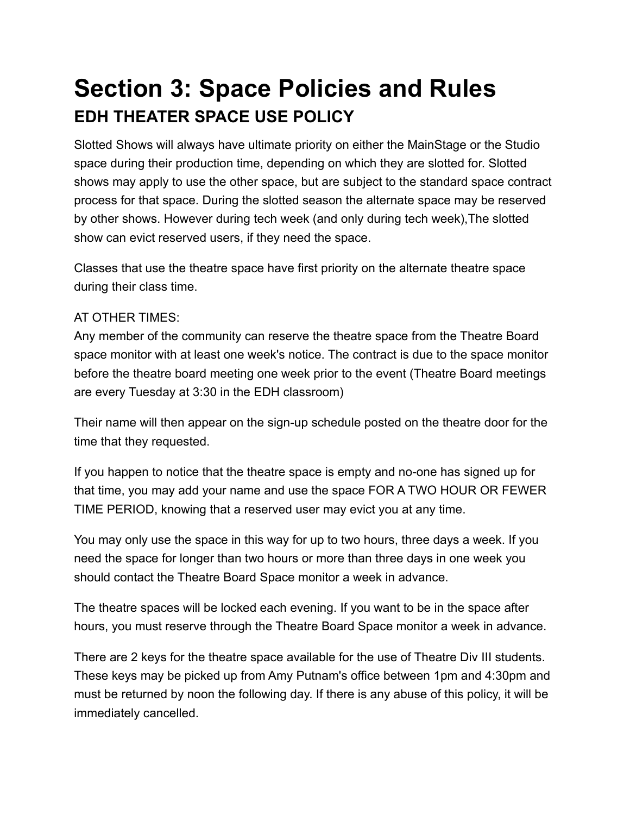### **Section 3: Space Policies and Rules EDH THEATER SPACE USE POLICY**

Slotted Shows will always have ultimate priority on either the MainStage or the Studio space during their production time, depending on which they are slotted for. Slotted shows may apply to use the other space, but are subject to the standard space contract process for that space. During the slotted season the alternate space may be reserved by other shows. However during tech week (and only during tech week),The slotted show can evict reserved users, if they need the space.

Classes that use the theatre space have first priority on the alternate theatre space during their class time.

#### AT OTHER TIMES:

Any member of the community can reserve the theatre space from the Theatre Board space monitor with at least one week's notice. The contract is due to the space monitor before the theatre board meeting one week prior to the event (Theatre Board meetings are every Tuesday at 3:30 in the EDH classroom)

Their name will then appear on the sign-up schedule posted on the theatre door for the time that they requested.

If you happen to notice that the theatre space is empty and no-one has signed up for that time, you may add your name and use the space FOR A TWO HOUR OR FEWER TIME PERIOD, knowing that a reserved user may evict you at any time.

You may only use the space in this way for up to two hours, three days a week. If you need the space for longer than two hours or more than three days in one week you should contact the Theatre Board Space monitor a week in advance.

The theatre spaces will be locked each evening. If you want to be in the space after hours, you must reserve through the Theatre Board Space monitor a week in advance.

There are 2 keys for the theatre space available for the use of Theatre Div III students. These keys may be picked up from Amy Putnam's office between 1pm and 4:30pm and must be returned by noon the following day. If there is any abuse of this policy, it will be immediately cancelled.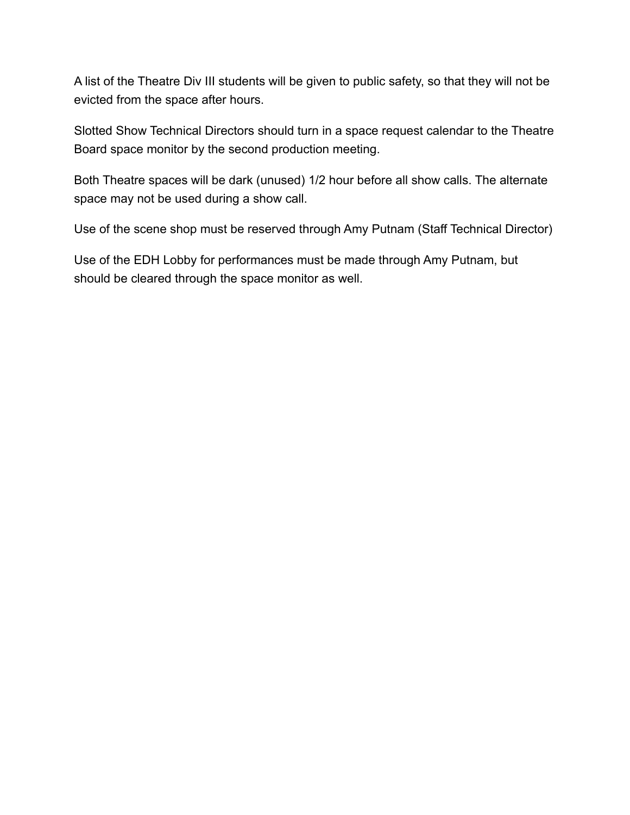A list of the Theatre Div III students will be given to public safety, so that they will not be evicted from the space after hours.

Slotted Show Technical Directors should turn in a space request calendar to the Theatre Board space monitor by the second production meeting.

Both Theatre spaces will be dark (unused) 1/2 hour before all show calls. The alternate space may not be used during a show call.

Use of the scene shop must be reserved through Amy Putnam (Staff Technical Director)

Use of the EDH Lobby for performances must be made through Amy Putnam, but should be cleared through the space monitor as well.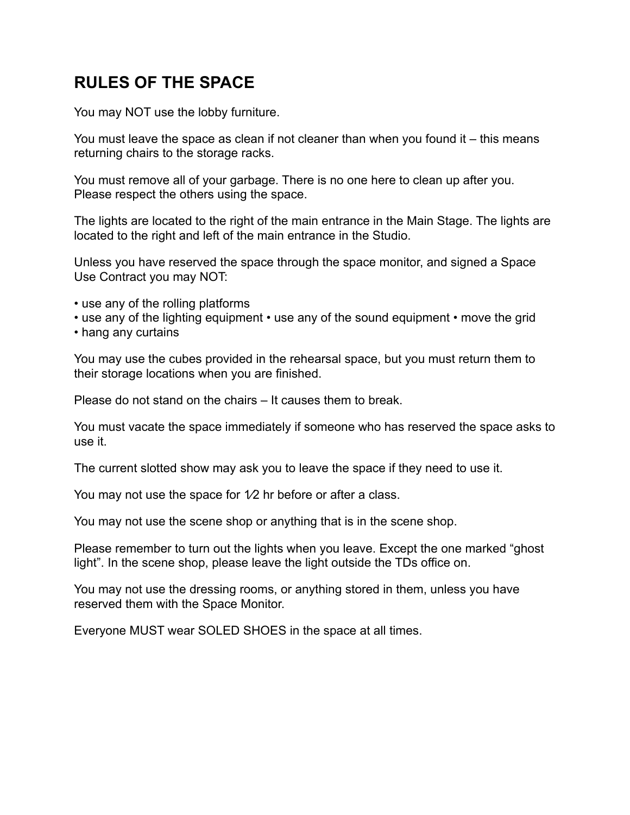#### **RULES OF THE SPACE**

You may NOT use the lobby furniture.

You must leave the space as clean if not cleaner than when you found it – this means returning chairs to the storage racks.

You must remove all of your garbage. There is no one here to clean up after you. Please respect the others using the space.

The lights are located to the right of the main entrance in the Main Stage. The lights are located to the right and left of the main entrance in the Studio.

Unless you have reserved the space through the space monitor, and signed a Space Use Contract you may NOT:

- use any of the rolling platforms
- use any of the lighting equipment use any of the sound equipment move the grid
- hang any curtains

You may use the cubes provided in the rehearsal space, but you must return them to their storage locations when you are finished.

Please do not stand on the chairs – It causes them to break.

You must vacate the space immediately if someone who has reserved the space asks to use it.

The current slotted show may ask you to leave the space if they need to use it.

You may not use the space for  $1/2$  hr before or after a class.

You may not use the scene shop or anything that is in the scene shop.

Please remember to turn out the lights when you leave. Except the one marked "ghost light". In the scene shop, please leave the light outside the TDs office on.

You may not use the dressing rooms, or anything stored in them, unless you have reserved them with the Space Monitor.

Everyone MUST wear SOLED SHOES in the space at all times.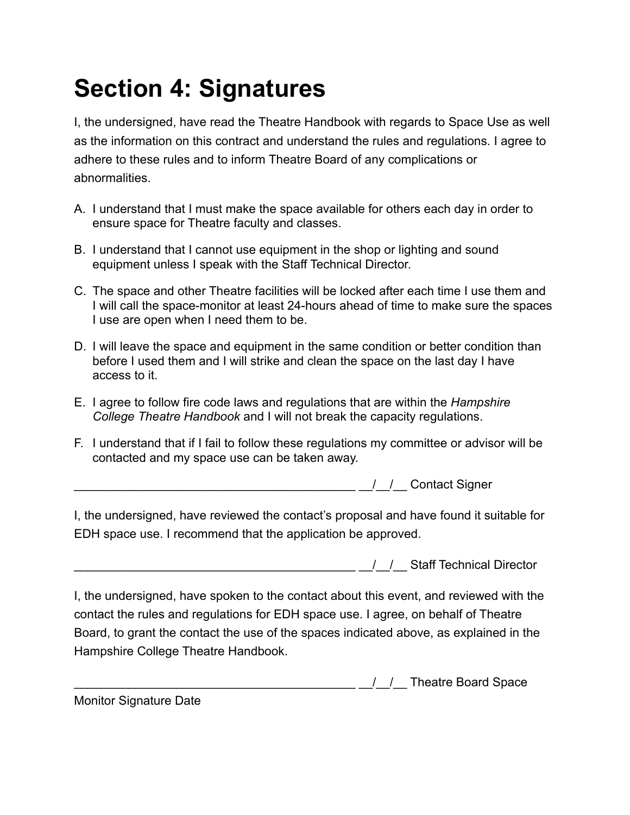### **Section 4: Signatures**

I, the undersigned, have read the Theatre Handbook with regards to Space Use as well as the information on this contract and understand the rules and regulations. I agree to adhere to these rules and to inform Theatre Board of any complications or abnormalities.

- A. I understand that I must make the space available for others each day in order to ensure space for Theatre faculty and classes.
- B. I understand that I cannot use equipment in the shop or lighting and sound equipment unless I speak with the Staff Technical Director.
- C. The space and other Theatre facilities will be locked after each time I use them and I will call the space-monitor at least 24-hours ahead of time to make sure the spaces I use are open when I need them to be.
- D. I will leave the space and equipment in the same condition or better condition than before I used them and I will strike and clean the space on the last day I have access to it.
- E. I agree to follow fire code laws and regulations that are within the *Hampshire College Theatre Handbook* and I will not break the capacity regulations.
- F. I understand that if I fail to follow these regulations my committee or advisor will be contacted and my space use can be taken away.

\_\_\_\_\_\_\_\_\_\_\_\_\_\_\_\_\_\_\_\_\_\_\_\_\_\_\_\_\_\_\_\_\_\_\_\_\_\_\_\_\_ \_\_/\_\_/\_\_ Contact Signer

I, the undersigned, have reviewed the contact's proposal and have found it suitable for EDH space use. I recommend that the application be approved.

\_\_\_\_\_\_\_\_\_\_\_\_\_\_\_\_\_\_\_\_\_\_\_\_\_\_\_\_\_\_\_\_\_\_\_\_\_\_\_\_\_ \_\_/\_\_/\_\_ Staff Technical Director

I, the undersigned, have spoken to the contact about this event, and reviewed with the contact the rules and regulations for EDH space use. I agree, on behalf of Theatre Board, to grant the contact the use of the spaces indicated above, as explained in the Hampshire College Theatre Handbook.

\_\_\_\_\_\_\_\_\_\_\_\_\_\_\_\_\_\_\_\_\_\_\_\_\_\_\_\_\_\_\_\_\_\_\_\_\_\_\_\_\_ \_\_/\_\_/\_\_ Theatre Board Space

Monitor Signature Date